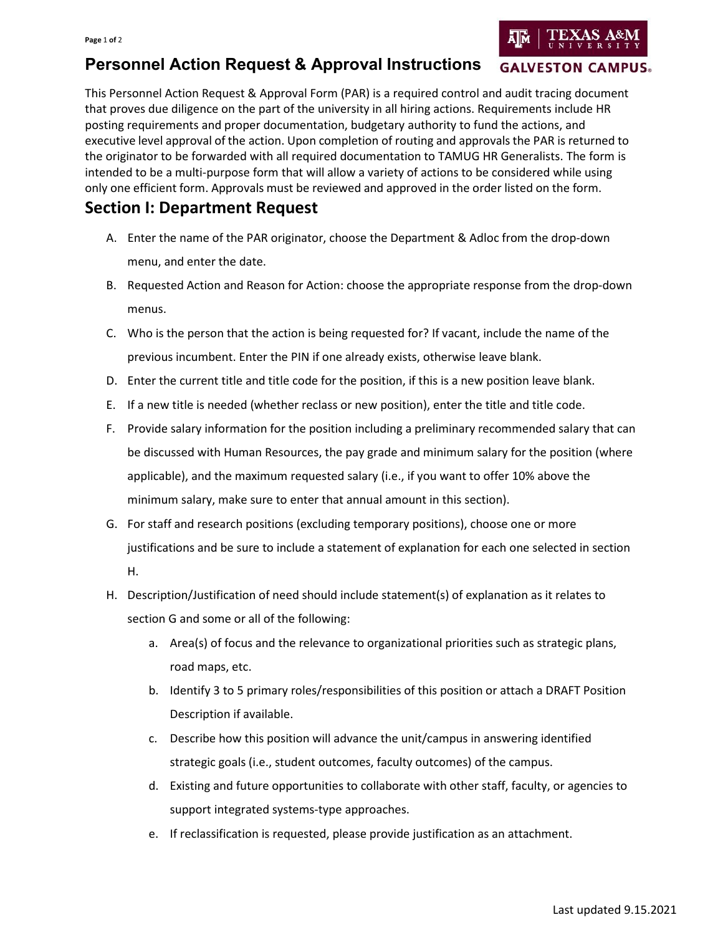## **Personnel Action Request & Approval Instructions**

This Personnel Action Request & Approval Form (PAR) is a required control and audit tracing document that proves due diligence on the part of the university in all hiring actions. Requirements include HR posting requirements and proper documentation, budgetary authority to fund the actions, and executive level approval of the action. Upon completion of routing and approvals the PAR is returned to the originator to be forwarded with all required documentation to TAMUG HR Generalists. The form is intended to be a multi-purpose form that will allow a variety of actions to be considered while using only one efficient form. Approvals must be reviewed and approved in the order listed on the form.

## **Section I: Department Request**

- A. Enter the name of the PAR originator, choose the Department & Adloc from the drop-down menu, and enter the date.
- B. Requested Action and Reason for Action: choose the appropriate response from the drop-down menus.
- C. Who is the person that the action is being requested for? If vacant, include the name of the previous incumbent. Enter the PIN if one already exists, otherwise leave blank.
- D. Enter the current title and title code for the position, if this is a new position leave blank.
- E. If a new title is needed (whether reclass or new position), enter the title and title code.
- F. Provide salary information for the position including a preliminary recommended salary that can be discussed with Human Resources, the pay grade and minimum salary for the position (where applicable), and the maximum requested salary (i.e., if you want to offer 10% above the minimum salary, make sure to enter that annual amount in this section).
- G. For staff and research positions (excluding temporary positions), choose one or more justifications and be sure to include a statement of explanation for each one selected in section H.
- H. Description/Justification of need should include statement(s) of explanation as it relates to section G and some or all of the following:
	- a. Area(s) of focus and the relevance to organizational priorities such as strategic plans, road maps, etc.
	- b. Identify 3 to 5 primary roles/responsibilities of this position or attach a DRAFT Position Description if available.
	- c. Describe how this position will advance the unit/campus in answering identified strategic goals (i.e., student outcomes, faculty outcomes) of the campus.
	- d. Existing and future opportunities to collaborate with other staff, faculty, or agencies to support integrated systems-type approaches.
	- e. If reclassification is requested, please provide justification as an attachment.

**GALVESTON CAMPUS.**